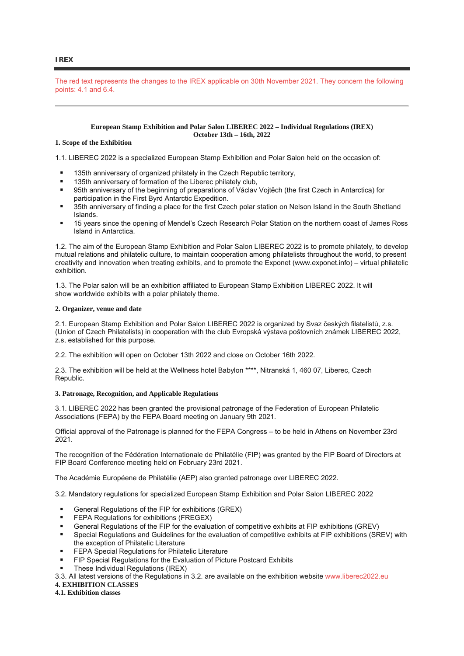## **IREX**

The red text represents the changes to the IREX applicable on 30th November 2021. They concern the following points: 4.1 and 6.4.

#### **European Stamp Exhibition and Polar Salon LIBEREC 2022 – Individual Regulations (IREX) October 13th – 16th, 2022**

## **1. Scope of the Exhibition**

1.1. LIBEREC 2022 is a specialized European Stamp Exhibition and Polar Salon held on the occasion of:

- 135th anniversary of organized philately in the Czech Republic territory,
- 135th anniversary of formation of the Liberec philately club,
- 95th anniversary of the beginning of preparations of Václav Vojtěch (the first Czech in Antarctica) for participation in the First Byrd Antarctic Expedition.
- 35th anniversary of finding a place for the first Czech polar station on Nelson Island in the South Shetland Islands.
- 15 years since the opening of Mendel's Czech Research Polar Station on the northern coast of James Ross Island in Antarctica.

1.2. The aim of the European Stamp Exhibition and Polar Salon LIBEREC 2022 is to promote philately, to develop mutual relations and philatelic culture, to maintain cooperation among philatelists throughout the world, to present creativity and innovation when treating exhibits, and to promote the Exponet (www.exponet.info) – virtual philatelic exhibition.

1.3. The Polar salon will be an exhibition affiliated to European Stamp Exhibition LIBEREC 2022. It will show worldwide exhibits with a polar philately theme.

#### **2. Organizer, venue and date**

2.1. European Stamp Exhibition and Polar Salon LIBEREC 2022 is organized by Svaz českých filatelistů, z.s. (Union of Czech Philatelists) in cooperation with the club Evropská výstava poštovních známek LIBEREC 2022, z.s, established for this purpose.

2.2. The exhibition will open on October 13th 2022 and close on October 16th 2022.

2.3. The exhibition will be held at the Wellness hotel Babylon \*\*\*\*, Nitranská 1, 460 07, Liberec, Czech Republic.

## **3. Patronage, Recognition, and Applicable Regulations**

3.1. LIBEREC 2022 has been granted the provisional patronage of the Federation of European Philatelic Associations (FEPA) by the FEPA Board meeting on January 9th 2021.

Official approval of the Patronage is planned for the FEPA Congress – to be held in Athens on November 23rd 2021.

The recognition of the Fédération Internationale de Philatélie (FIP) was granted by the FIP Board of Directors at FIP Board Conference meeting held on February 23rd 2021.

The Académie Européene de Philatélie (AEP) also granted patronage over LIBEREC 2022.

3.2. Mandatory regulations for specialized European Stamp Exhibition and Polar Salon LIBEREC 2022

- General Regulations of the FIP for exhibitions (GREX)
- FEPA Regulations for exhibitions (FREGEX)
- General Regulations of the FIP for the evaluation of competitive exhibits at FIP exhibitions (GREV)
- Special Regulations and Guidelines for the evaluation of competitive exhibits at FIP exhibitions (SREV) with the exception of Philatelic Literature
- FEPA Special Regulations for Philatelic Literature
- FIP Special Regulations for the Evaluation of Picture Postcard Exhibits
- These Individual Regulations (IREX)
- 3.3. All latest versions of the Regulations in 3.2. are available on the exhibition website www.liberec2022.eu

**4. EXHIBITION CLASSES**

**4.1. Exhibition classes**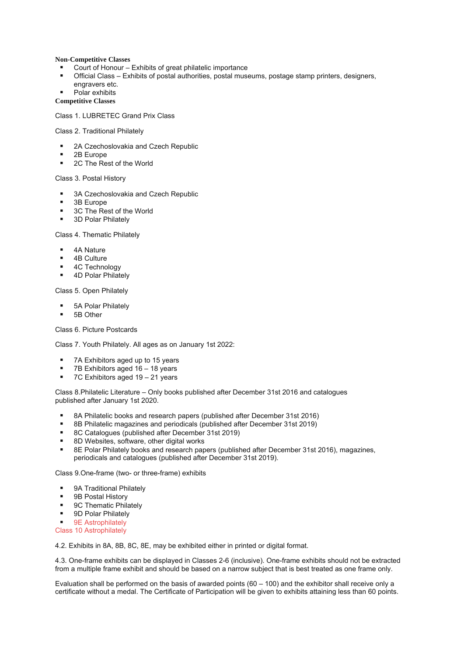## **Non-Competitive Classes**

- Court of Honour Exhibits of great philatelic importance
- Official Class Exhibits of postal authorities, postal museums, postage stamp printers, designers, engravers etc.
- Polar exhibits

**Competitive Classes**

Class 1. LUBRETEC Grand Prix Class

Class 2. Traditional Philately

- 2A Czechoslovakia and Czech Republic
- 2B Europe
- 2C The Rest of the World

Class 3. Postal History

- 3A Czechoslovakia and Czech Republic
- **3B** Europe
- $\blacksquare$  3C The Rest of the World
- 3D Polar Philately

Class 4. Thematic Philately

- 4A Nature
- 4B Culture
- **4C Technology**
- 4D Polar Philately

Class 5. Open Philately

- **5A Polar Philately**
- 5B Other

Class 6. Picture Postcards

Class 7. Youth Philately. All ages as on January 1st 2022:

- 7A Exhibitors aged up to 15 years
- $\blacksquare$  7B Exhibitors aged 16 18 years
- $\blacksquare$  7C Exhibitors aged 19 21 years

Class 8.Philatelic Literature – Only books published after December 31st 2016 and catalogues published after January 1st 2020.

- 8A Philatelic books and research papers (published after December 31st 2016)
- 8B Philatelic magazines and periodicals (published after December 31st 2019)
- 8C Catalogues (published after December 31st 2019)
- 8D Websites, software, other digital works
- 8E Polar Philately books and research papers (published after December 31st 2016), magazines, periodicals and catalogues (published after December 31st 2019).

Class 9.One-frame (two- or three-frame) exhibits

- 9A Traditional Philately
- 9B Postal History
- **9C Thematic Philately**
- **9D Polar Philately**
- 9E Astrophilately
- Class 10 Astrophilately

4.2. Exhibits in 8A, 8B, 8C, 8E, may be exhibited either in printed or digital format.

4.3. One-frame exhibits can be displayed in Classes 2-6 (inclusive). One-frame exhibits should not be extracted from a multiple frame exhibit and should be based on a narrow subject that is best treated as one frame only.

Evaluation shall be performed on the basis of awarded points  $(60 - 100)$  and the exhibitor shall receive only a certificate without a medal. The Certificate of Participation will be given to exhibits attaining less than 60 points.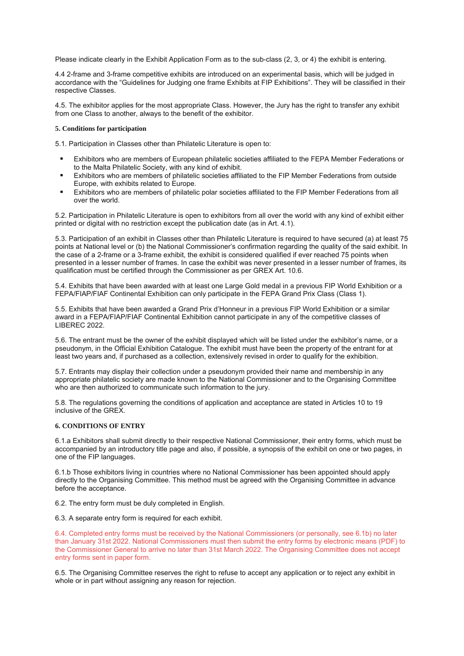Please indicate clearly in the Exhibit Application Form as to the sub-class (2, 3, or 4) the exhibit is entering.

4.4 2-frame and 3-frame competitive exhibits are introduced on an experimental basis, which will be judged in accordance with the "Guidelines for Judging one frame Exhibits at FIP Exhibitions". They will be classified in their respective Classes.

4.5. The exhibitor applies for the most appropriate Class. However, the Jury has the right to transfer any exhibit from one Class to another, always to the benefit of the exhibitor.

## **5. Conditions for participation**

5.1. Participation in Classes other than Philatelic Literature is open to:

- Exhibitors who are members of European philatelic societies affiliated to the FEPA Member Federations or to the Malta Philatelic Society, with any kind of exhibit.
- Exhibitors who are members of philatelic societies affiliated to the FIP Member Federations from outside Europe, with exhibits related to Europe.
- Exhibitors who are members of philatelic polar societies affiliated to the FIP Member Federations from all over the world.

5.2. Participation in Philatelic Literature is open to exhibitors from all over the world with any kind of exhibit either printed or digital with no restriction except the publication date (as in Art. 4.1).

5.3. Participation of an exhibit in Classes other than Philatelic Literature is required to have secured (a) at least 75 points at National level or (b) the National Commissioner's confirmation regarding the quality of the said exhibit. In the case of a 2-frame or a 3-frame exhibit, the exhibit is considered qualified if ever reached 75 points when presented in a lesser number of frames. In case the exhibit was never presented in a lesser number of frames, its qualification must be certified through the Commissioner as per GREX Art. 10.6.

5.4. Exhibits that have been awarded with at least one Large Gold medal in a previous FIP World Exhibition or a FEPA/FIAP/FIAF Continental Exhibition can only participate in the FEPA Grand Prix Class (Class 1).

5.5. Exhibits that have been awarded a Grand Prix d'Honneur in a previous FIP World Exhibition or a similar award in a FEPA/FIAP/FIAF Continental Exhibition cannot participate in any of the competitive classes of LIBEREC 2022.

5.6. The entrant must be the owner of the exhibit displayed which will be listed under the exhibitor's name, or a pseudonym, in the Official Exhibition Catalogue. The exhibit must have been the property of the entrant for at least two years and, if purchased as a collection, extensively revised in order to qualify for the exhibition.

5.7. Entrants may display their collection under a pseudonym provided their name and membership in any appropriate philatelic society are made known to the National Commissioner and to the Organising Committee who are then authorized to communicate such information to the jury.

5.8. The regulations governing the conditions of application and acceptance are stated in Articles 10 to 19 inclusive of the GREX.

## **6. CONDITIONS OF ENTRY**

6.1.a Exhibitors shall submit directly to their respective National Commissioner, their entry forms, which must be accompanied by an introductory title page and also, if possible, a synopsis of the exhibit on one or two pages, in one of the FIP languages.

6.1.b Those exhibitors living in countries where no National Commissioner has been appointed should apply directly to the Organising Committee. This method must be agreed with the Organising Committee in advance before the acceptance.

6.2. The entry form must be duly completed in English.

6.3. A separate entry form is required for each exhibit.

6.4. Completed entry forms must be received by the National Commissioners (or personally, see 6.1b) no later than January 31st 2022. National Commissioners must then submit the entry forms by electronic means (PDF) to the Commissioner General to arrive no later than 31st March 2022. The Organising Committee does not accept entry forms sent in paper form.

6.5. The Organising Committee reserves the right to refuse to accept any application or to reject any exhibit in whole or in part without assigning any reason for rejection.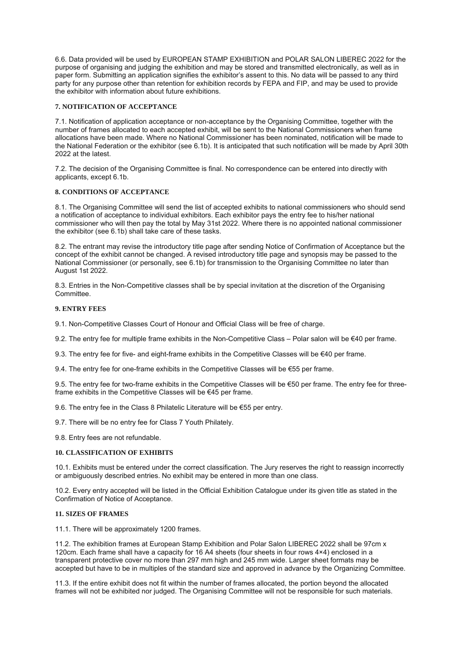6.6. Data provided will be used by EUROPEAN STAMP EXHIBITION and POLAR SALON LIBEREC 2022 for the purpose of organising and judging the exhibition and may be stored and transmitted electronically, as well as in paper form. Submitting an application signifies the exhibitor's assent to this. No data will be passed to any third party for any purpose other than retention for exhibition records by FEPA and FIP, and may be used to provide the exhibitor with information about future exhibitions.

# **7. NOTIFICATION OF ACCEPTANCE**

7.1. Notification of application acceptance or non-acceptance by the Organising Committee, together with the number of frames allocated to each accepted exhibit, will be sent to the National Commissioners when frame allocations have been made. Where no National Commissioner has been nominated, notification will be made to the National Federation or the exhibitor (see 6.1b). It is anticipated that such notification will be made by April 30th 2022 at the latest.

7.2. The decision of the Organising Committee is final. No correspondence can be entered into directly with applicants, except 6.1b.

# **8. CONDITIONS OF ACCEPTANCE**

8.1. The Organising Committee will send the list of accepted exhibits to national commissioners who should send a notification of acceptance to individual exhibitors. Each exhibitor pays the entry fee to his/her national commissioner who will then pay the total by May 31st 2022. Where there is no appointed national commissioner the exhibitor (see 6.1b) shall take care of these tasks.

8.2. The entrant may revise the introductory title page after sending Notice of Confirmation of Acceptance but the concept of the exhibit cannot be changed. A revised introductory title page and synopsis may be passed to the National Commissioner (or personally, see 6.1b) for transmission to the Organising Committee no later than August 1st 2022.

8.3. Entries in the Non-Competitive classes shall be by special invitation at the discretion of the Organising Committee.

## **9. ENTRY FEES**

9.1. Non-Competitive Classes Court of Honour and Official Class will be free of charge.

9.2. The entry fee for multiple frame exhibits in the Non-Competitive Class – Polar salon will be €40 per frame.

9.3. The entry fee for five- and eight-frame exhibits in the Competitive Classes will be €40 per frame.

9.4. The entry fee for one-frame exhibits in the Competitive Classes will be  $\epsilon$ 55 per frame.

9.5. The entry fee for two-frame exhibits in the Competitive Classes will be €50 per frame. The entry fee for threeframe exhibits in the Competitive Classes will be €45 per frame.

9.6. The entry fee in the Class 8 Philatelic Literature will be €55 per entry.

9.7. There will be no entry fee for Class 7 Youth Philately.

9.8. Entry fees are not refundable.

## **10. CLASSIFICATION OF EXHIBITS**

10.1. Exhibits must be entered under the correct classification. The Jury reserves the right to reassign incorrectly or ambiguously described entries. No exhibit may be entered in more than one class.

10.2. Every entry accepted will be listed in the Official Exhibition Catalogue under its given title as stated in the Confirmation of Notice of Acceptance.

## **11. SIZES OF FRAMES**

11.1. There will be approximately 1200 frames.

11.2. The exhibition frames at European Stamp Exhibition and Polar Salon LIBEREC 2022 shall be 97cm x 120cm. Each frame shall have a capacity for 16 A4 sheets (four sheets in four rows 4×4) enclosed in a transparent protective cover no more than 297 mm high and 245 mm wide. Larger sheet formats may be accepted but have to be in multiples of the standard size and approved in advance by the Organizing Committee.

11.3. If the entire exhibit does not fit within the number of frames allocated, the portion beyond the allocated frames will not be exhibited nor judged. The Organising Committee will not be responsible for such materials.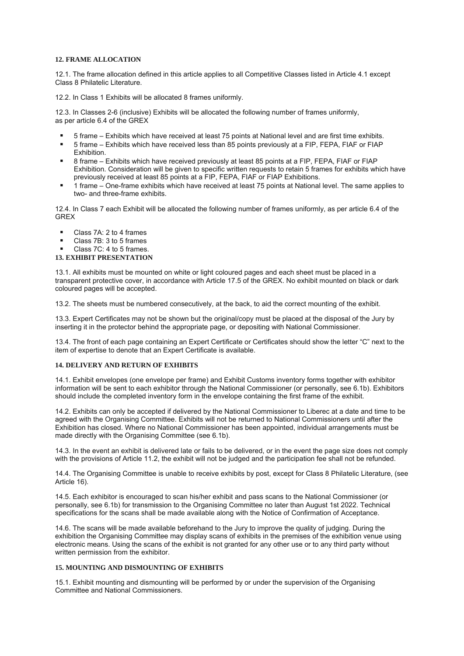## **12. FRAME ALLOCATION**

12.1. The frame allocation defined in this article applies to all Competitive Classes listed in Article 4.1 except Class 8 Philatelic Literature.

12.2. In Class 1 Exhibits will be allocated 8 frames uniformly.

12.3. In Classes 2-6 (inclusive) Exhibits will be allocated the following number of frames uniformly, as per article 6.4 of the GREX

- 5 frame Exhibits which have received at least 75 points at National level and are first time exhibits.
- 5 frame Exhibits which have received less than 85 points previously at a FIP, FEPA, FIAF or FIAP Exhibition.
- 8 frame Exhibits which have received previously at least 85 points at a FIP, FEPA, FIAF or FIAP Exhibition. Consideration will be given to specific written requests to retain 5 frames for exhibits which have previously received at least 85 points at a FIP, FEPA, FIAF or FIAP Exhibitions.
- 1 frame One-frame exhibits which have received at least 75 points at National level. The same applies to two- and three-frame exhibits.

12.4. In Class 7 each Exhibit will be allocated the following number of frames uniformly, as per article 6.4 of the GREX

- Class 7A: 2 to 4 frames
- Class 7B: 3 to 5 frames
- Class 7C: 4 to 5 frames.
- **13. EXHIBIT PRESENTATION**

13.1. All exhibits must be mounted on white or light coloured pages and each sheet must be placed in a transparent protective cover, in accordance with Article 17.5 of the GREX. No exhibit mounted on black or dark coloured pages will be accepted.

13.2. The sheets must be numbered consecutively, at the back, to aid the correct mounting of the exhibit.

13.3. Expert Certificates may not be shown but the original/copy must be placed at the disposal of the Jury by inserting it in the protector behind the appropriate page, or depositing with National Commissioner.

13.4. The front of each page containing an Expert Certificate or Certificates should show the letter "C" next to the item of expertise to denote that an Expert Certificate is available.

## **14. DELIVERY AND RETURN OF EXHIBITS**

14.1. Exhibit envelopes (one envelope per frame) and Exhibit Customs inventory forms together with exhibitor information will be sent to each exhibitor through the National Commissioner (or personally, see 6.1b). Exhibitors should include the completed inventory form in the envelope containing the first frame of the exhibit.

14.2. Exhibits can only be accepted if delivered by the National Commissioner to Liberec at a date and time to be agreed with the Organising Committee. Exhibits will not be returned to National Commissioners until after the Exhibition has closed. Where no National Commissioner has been appointed, individual arrangements must be made directly with the Organising Committee (see 6.1b).

14.3. In the event an exhibit is delivered late or fails to be delivered, or in the event the page size does not comply with the provisions of Article 11.2, the exhibit will not be judged and the participation fee shall not be refunded.

14.4. The Organising Committee is unable to receive exhibits by post, except for Class 8 Philatelic Literature, (see Article 16).

14.5. Each exhibitor is encouraged to scan his/her exhibit and pass scans to the National Commissioner (or personally, see 6.1b) for transmission to the Organising Committee no later than August 1st 2022. Technical specifications for the scans shall be made available along with the Notice of Confirmation of Acceptance.

14.6. The scans will be made available beforehand to the Jury to improve the quality of judging. During the exhibition the Organising Committee may display scans of exhibits in the premises of the exhibition venue using electronic means. Using the scans of the exhibit is not granted for any other use or to any third party without written permission from the exhibitor.

# **15. MOUNTING AND DISMOUNTING OF EXHIBITS**

15.1. Exhibit mounting and dismounting will be performed by or under the supervision of the Organising Committee and National Commissioners.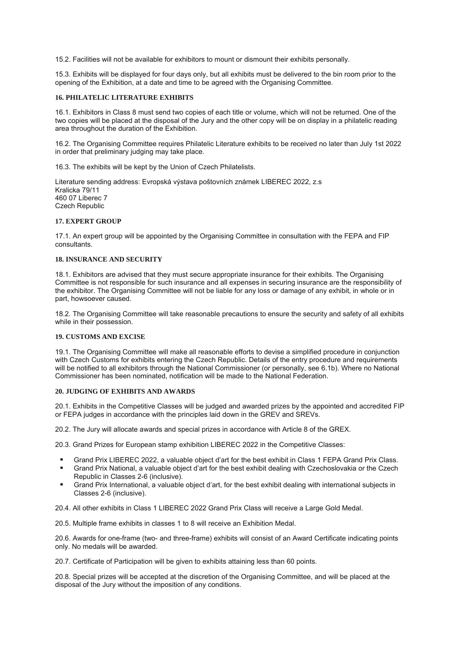15.2. Facilities will not be available for exhibitors to mount or dismount their exhibits personally.

15.3. Exhibits will be displayed for four days only, but all exhibits must be delivered to the bin room prior to the opening of the Exhibition, at a date and time to be agreed with the Organising Committee.

#### **16. PHILATELIC LITERATURE EXHIBITS**

16.1. Exhibitors in Class 8 must send two copies of each title or volume, which will not be returned. One of the two copies will be placed at the disposal of the Jury and the other copy will be on display in a philatelic reading area throughout the duration of the Exhibition.

16.2. The Organising Committee requires Philatelic Literature exhibits to be received no later than July 1st 2022 in order that preliminary judging may take place.

16.3. The exhibits will be kept by the Union of Czech Philatelists.

Literature sending address: Evropská výstava poštovních známek LIBEREC 2022, z.s Kralicka 79/11 460 07 Liberec 7 Czech Republic

## **17. EXPERT GROUP**

17.1. An expert group will be appointed by the Organising Committee in consultation with the FEPA and FIP consultants.

## **18. INSURANCE AND SECURITY**

18.1. Exhibitors are advised that they must secure appropriate insurance for their exhibits. The Organising Committee is not responsible for such insurance and all expenses in securing insurance are the responsibility of the exhibitor. The Organising Committee will not be liable for any loss or damage of any exhibit, in whole or in part, howsoever caused.

18.2. The Organising Committee will take reasonable precautions to ensure the security and safety of all exhibits while in their possession.

## **19. CUSTOMS AND EXCISE**

19.1. The Organising Committee will make all reasonable efforts to devise a simplified procedure in conjunction with Czech Customs for exhibits entering the Czech Republic. Details of the entry procedure and requirements will be notified to all exhibitors through the National Commissioner (or personally, see 6.1b). Where no National Commissioner has been nominated, notification will be made to the National Federation.

## **20. JUDGING OF EXHIBITS AND AWARDS**

20.1. Exhibits in the Competitive Classes will be judged and awarded prizes by the appointed and accredited FIP or FEPA judges in accordance with the principles laid down in the GREV and SREVs.

20.2. The Jury will allocate awards and special prizes in accordance with Article 8 of the GREX.

20.3. Grand Prizes for European stamp exhibition LIBEREC 2022 in the Competitive Classes:

- Grand Prix LIBEREC 2022, a valuable object d'art for the best exhibit in Class 1 FEPA Grand Prix Class.
- Grand Prix National, a valuable object d'art for the best exhibit dealing with Czechoslovakia or the Czech Republic in Classes 2-6 (inclusive).
- Grand Prix International, a valuable object d'art, for the best exhibit dealing with international subjects in Classes 2-6 (inclusive).

20.4. All other exhibits in Class 1 LIBEREC 2022 Grand Prix Class will receive a Large Gold Medal.

20.5. Multiple frame exhibits in classes 1 to 8 will receive an Exhibition Medal.

20.6. Awards for one-frame (two- and three-frame) exhibits will consist of an Award Certificate indicating points only. No medals will be awarded.

20.7. Certificate of Participation will be given to exhibits attaining less than 60 points.

20.8. Special prizes will be accepted at the discretion of the Organising Committee, and will be placed at the disposal of the Jury without the imposition of any conditions.